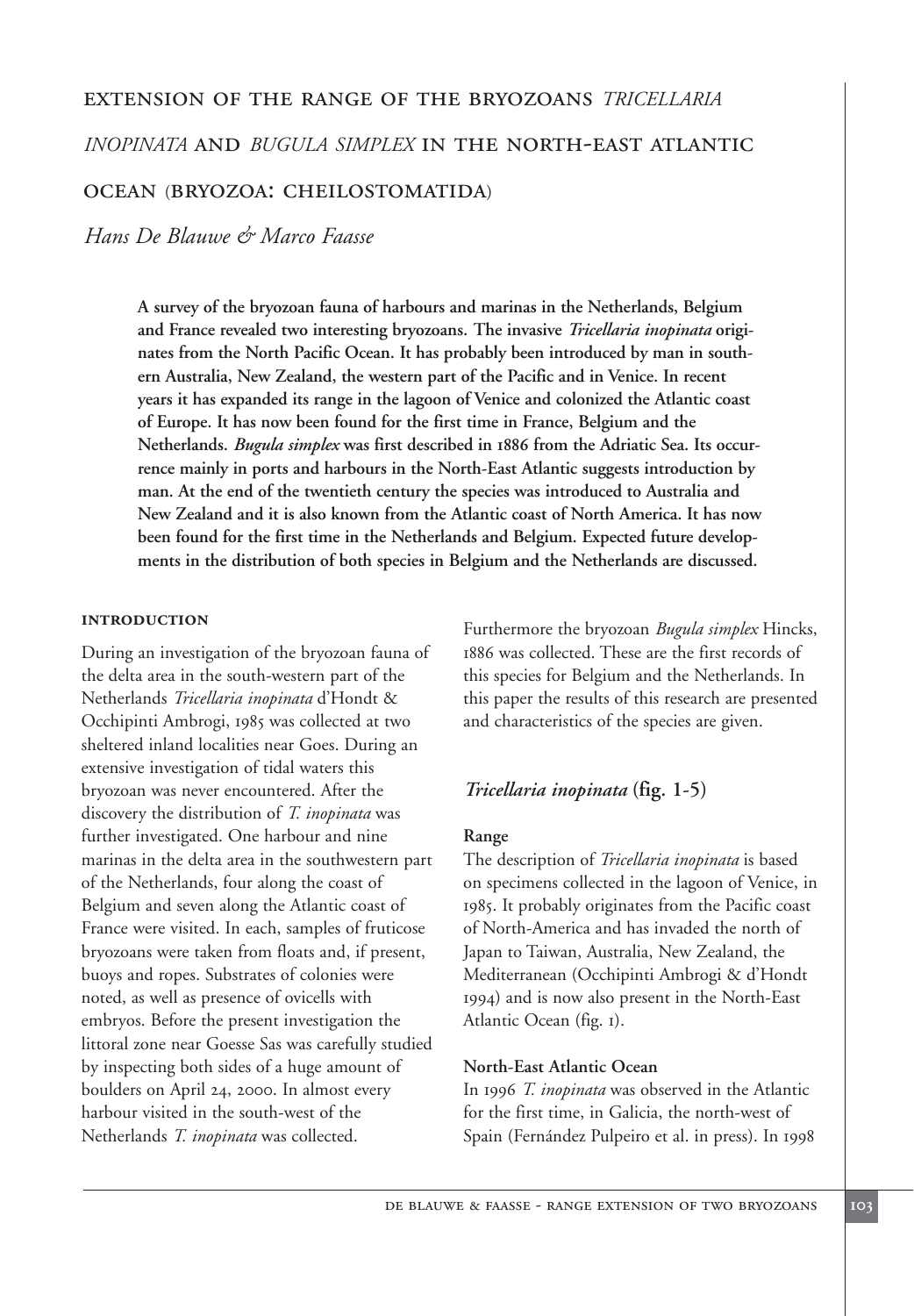# extension of the range of the bryozoans *TRICELLARIA*

*INOPINATA* and *BUGULA SIMPLEX* in the north-east atlantic

# ocean (bryozoa: cheilostomatida)

*Hans De Blauwe & Marco Faasse*

**A survey of the bryozoan fauna of harbours and marinas in the Netherlands, Belgium and France revealed two interesting bryozoans. The invasive** *Tricellaria inopinata* **originates from the North Pacific Ocean. It has probably been introduced by man in southern Australia, New Zealand, the western part of the Pacific and in Venice. In recent years it has expanded its range in the lagoon of Venice and colonized the Atlantic coast of Europe. It has now been found for the first time in France, Belgium and the Netherlands.** *Bugula simplex* **was first described in 1886 from the Adriatic Sea. Its occurrence mainly in ports and harbours in the North-East Atlantic suggests introduction by man. At the end of the twentieth century the species was introduced to Australia and New Zealand and it is also known from the Atlantic coast of North America. It has now been found for the first time in the Netherlands and Belgium. Expected future developments in the distribution of both species in Belgium and the Netherlands are discussed.**

### **introduction**

During an investigation of the bryozoan fauna of the delta area in the south-western part of the Netherlands *Tricellaria inopinata* d'Hondt & Occhipinti Ambrogi, 1985 was collected at two sheltered inland localities near Goes. During an extensive investigation of tidal waters this bryozoan was never encountered. After the discovery the distribution of *T. inopinata* was further investigated. One harbour and nine marinas in the delta area in the southwestern part of the Netherlands, four along the coast of Belgium and seven along the Atlantic coast of France were visited. In each, samples of fruticose bryozoans were taken from floats and, if present, buoys and ropes. Substrates of colonies were noted, as well as presence of ovicells with embryos. Before the present investigation the littoral zone near Goesse Sas was carefully studied by inspecting both sides of a huge amount of boulders on April 24, 2000. In almost every harbour visited in the south-west of the Netherlands *T. inopinata* was collected.

Furthermore the bryozoan *Bugula simplex* Hincks, 1886 was collected. These are the first records of this species for Belgium and the Netherlands. In this paper the results of this research are presented and characteristics of the species are given.

# *Tricellaria inopinata* **(fig. 1-5)**

# **Range**

The description of *Tricellaria inopinata* is based on specimens collected in the lagoon of Venice, in 1985. It probably originates from the Pacific coast of North-America and has invaded the north of Japan to Taiwan, Australia, New Zealand, the Mediterranean (Occhipinti Ambrogi & d'Hondt 1994) and is now also present in the North-East Atlantic Ocean (fig. 1).

# **North-East Atlantic Ocean**

In 1996 *T. inopinata* was observed in the Atlantic for the first time, in Galicia, the north-west of Spain (Fernández Pulpeiro et al. in press). In 1998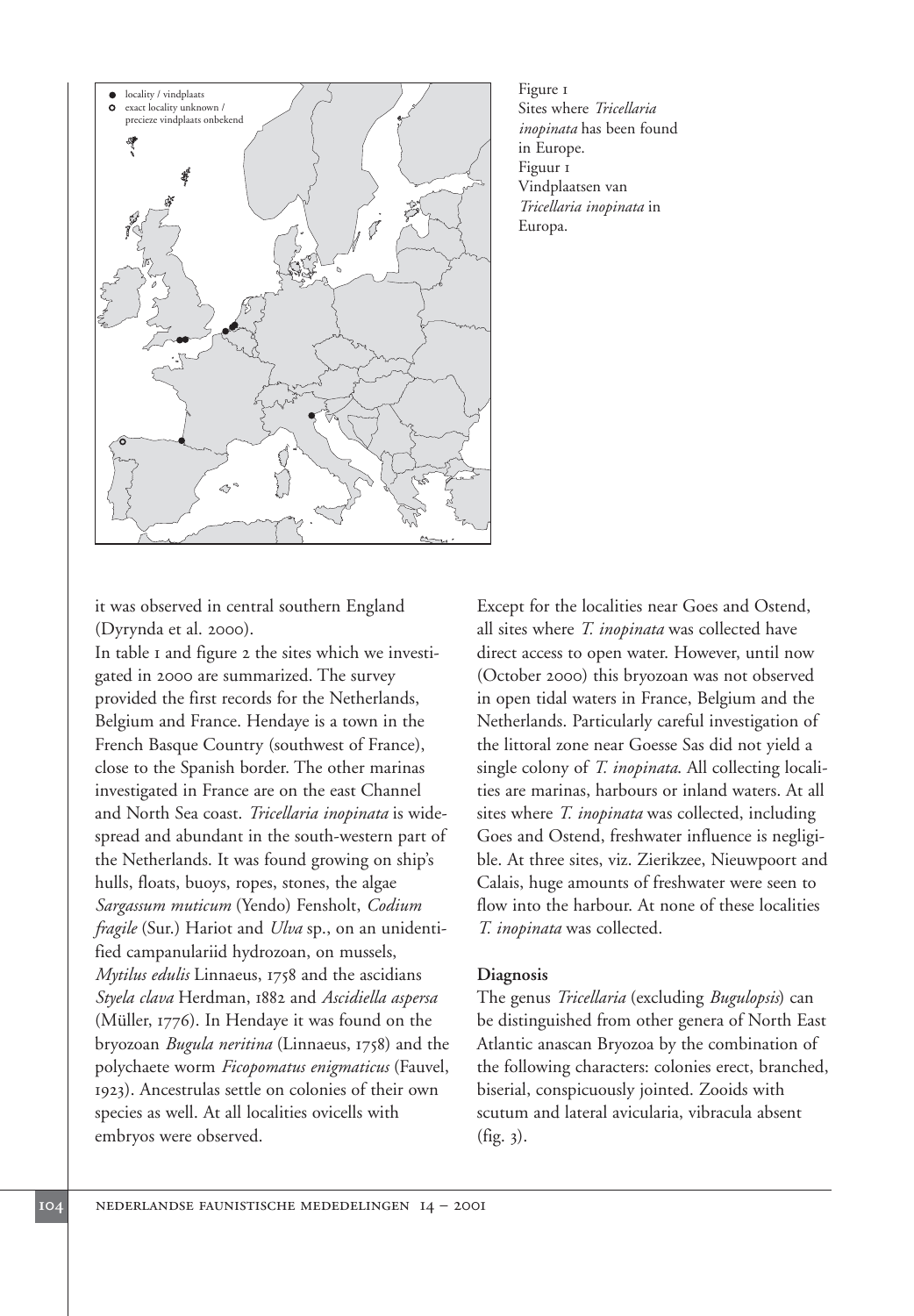

Figure 1 Sites where *Tricellaria inopinata* has been found in Europe. Figuur 1 Vindplaatsen van *Tricellaria inopinata* in Europa.

it was observed in central southern England (Dyrynda et al. 2000).

In table 1 and figure 2 the sites which we investigated in 2000 are summarized. The survey provided the first records for the Netherlands, Belgium and France. Hendaye is a town in the French Basque Country (southwest of France), close to the Spanish border. The other marinas investigated in France are on the east Channel and North Sea coast. *Tricellaria inopinata* is widespread and abundant in the south-western part of the Netherlands. It was found growing on ship's hulls, floats, buoys, ropes, stones, the algae *Sargassum muticum* (Yendo) Fensholt, *Codium fragile* (Sur.) Hariot and *Ulva* sp., on an unidentified campanulariid hydrozoan, on mussels, *Mytilus edulis* Linnaeus, 1758 and the ascidians *Styela clava* Herdman, 1882 and *Ascidiella aspersa* (Müller, 1776). In Hendaye it was found on the bryozoan *Bugula neritina* (Linnaeus, 1758) and the polychaete worm *Ficopomatus enigmaticus* (Fauvel, 1923). Ancestrulas settle on colonies of their own species as well. At all localities ovicells with embryos were observed.

Except for the localities near Goes and Ostend, all sites where *T. inopinata* was collected have direct access to open water. However, until now (October 2000) this bryozoan was not observed in open tidal waters in France, Belgium and the Netherlands. Particularly careful investigation of the littoral zone near Goesse Sas did not yield a single colony of *T. inopinata*. All collecting localities are marinas, harbours or inland waters. At all sites where *T. inopinata* was collected, including Goes and Ostend, freshwater influence is negligible. At three sites, viz. Zierikzee, Nieuwpoort and Calais, huge amounts of freshwater were seen to flow into the harbour. At none of these localities *T. inopinata* was collected.

# **Diagnosis**

The genus *Tricellaria* (excluding *Bugulopsis*) can be distinguished from other genera of North East Atlantic anascan Bryozoa by the combination of the following characters: colonies erect, branched, biserial, conspicuously jointed. Zooids with scutum and lateral avicularia, vibracula absent (fig. 3).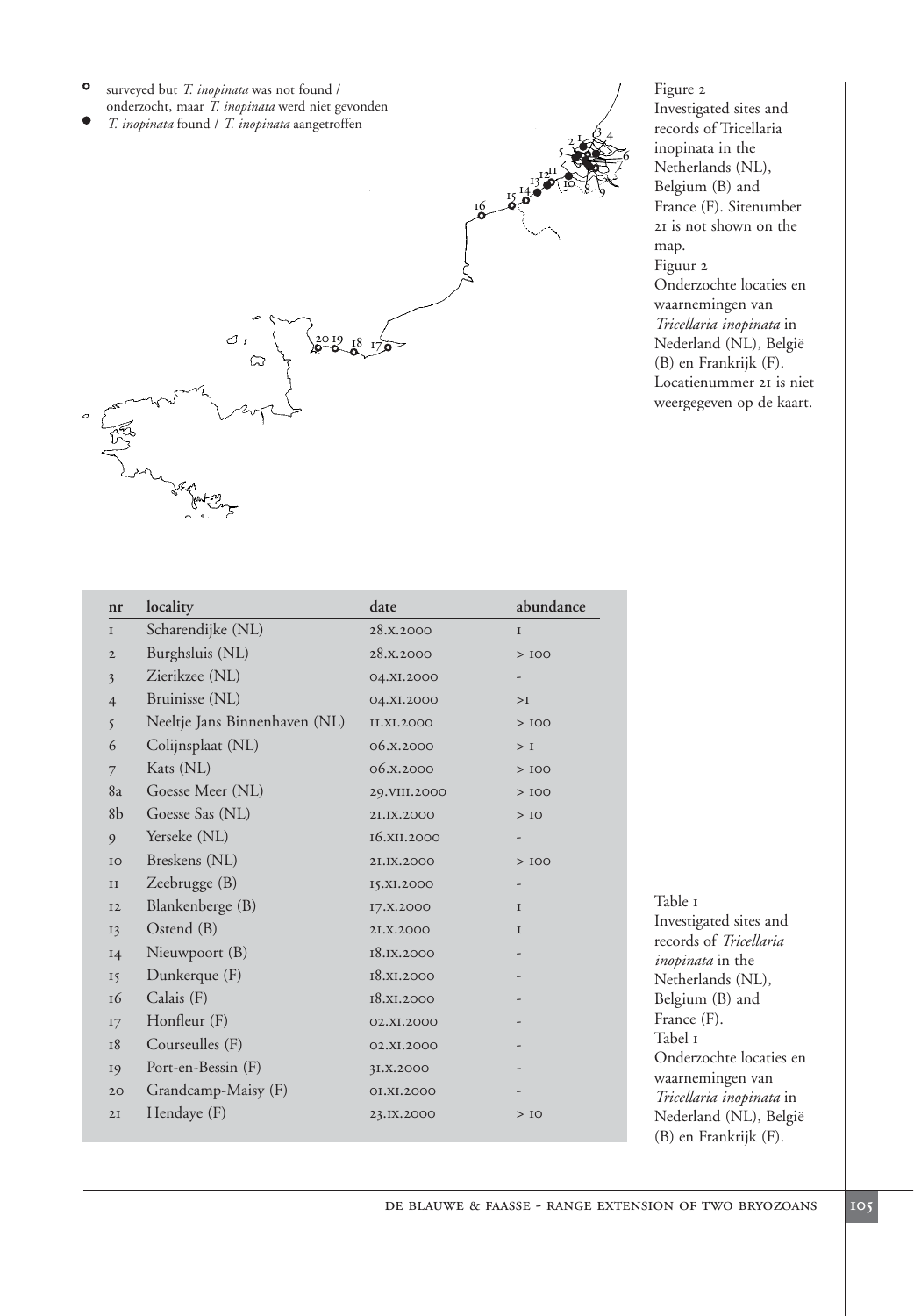- surveyed but *T. inopinata* was not found /  $\bullet$ onderzocht, maar *T. inopinata* werd niet gevonden
- *T. inopinata* found / *T. inopinata* aangetroffen



Figure 2 Investigated sites and records of Tricellaria inopinata in the Netherlands (NL), Belgium (B) and France (F). Sitenumber 21 is not shown on the map. Figuur 2 Onderzochte locaties en waarnemingen van *Tricellaria inopinata* in Nederland (NL), België (B) en Frankrijk (F). Locatienummer 21 is niet weergegeven op de kaart.

 $16\frac{13}{6}\frac{12^{11}}{90}$ 

| nr             | locality                      | date         | abundance   |
|----------------|-------------------------------|--------------|-------------|
| $\mathbf I$    | Scharendijke (NL)             | 28.X.2000    | $\mathbf I$ |
| $\mathbf{2}$   | Burghsluis (NL)               | 28.X.2000    | >100        |
| $\overline{3}$ | Zierikzee (NL)                | 04.XI.2000   |             |
| $\overline{4}$ | Bruinisse (NL)                | 04.XI.2000   | >1          |
| 5              | Neeltje Jans Binnenhaven (NL) | II.XI.2000   | >100        |
| 6              | Colijnsplaat (NL)             | 06.X.2000    | $>$ I       |
| $\overline{7}$ | Kats (NL)                     | 06.X.2000    | >100        |
| 8a             | Goesse Meer (NL)              | 29.VIII.2000 | >100        |
| 8 <sub>b</sub> | Goesse Sas (NL)               | 2I.IX.2000   | $>$ IO      |
| 9              | Yerseke (NL)                  | 16.XII.2000  |             |
| IO             | Breskens (NL)                 | 2I.IX.2000   | >100        |
| $\rm II$       | Zeebrugge (B)                 | I5.XI.2000   |             |
| <b>I2</b>      | Blankenberge (B)              | I7.X.2000    | I           |
| 13             | Ostend (B)                    | 2I.X.2000    | I           |
| <b>14</b>      | Nieuwpoort (B)                | 18.IX.2000   |             |
| 15             | Dunkerque (F)                 | 18.XI.2000   |             |
| 16             | Calais (F)                    | 18.XI.2000   |             |
| I7             | Honfleur (F)                  | 02.XI.2000   |             |
| 18             | Courseulles (F)               | 02.XI.2000   |             |
| 19             | Port-en-Bessin (F)            | 3I.X.2000    |             |
| 20             | Grandcamp-Maisy (F)           | 0I.XI.2000   |             |
| 2I             | Hendaye (F)                   | 23.IX.2000   | $>$ IO      |
|                |                               |              |             |

Table 1 Investigated sites and records of *Tricellaria inopinata* in the Netherlands (NL), Belgium (B) and France (F). Tabel 1 Onderzochte locaties en waarnemingen van *Tricellaria inopinata* in Nederland (NL), België (B) en Frankrijk (F).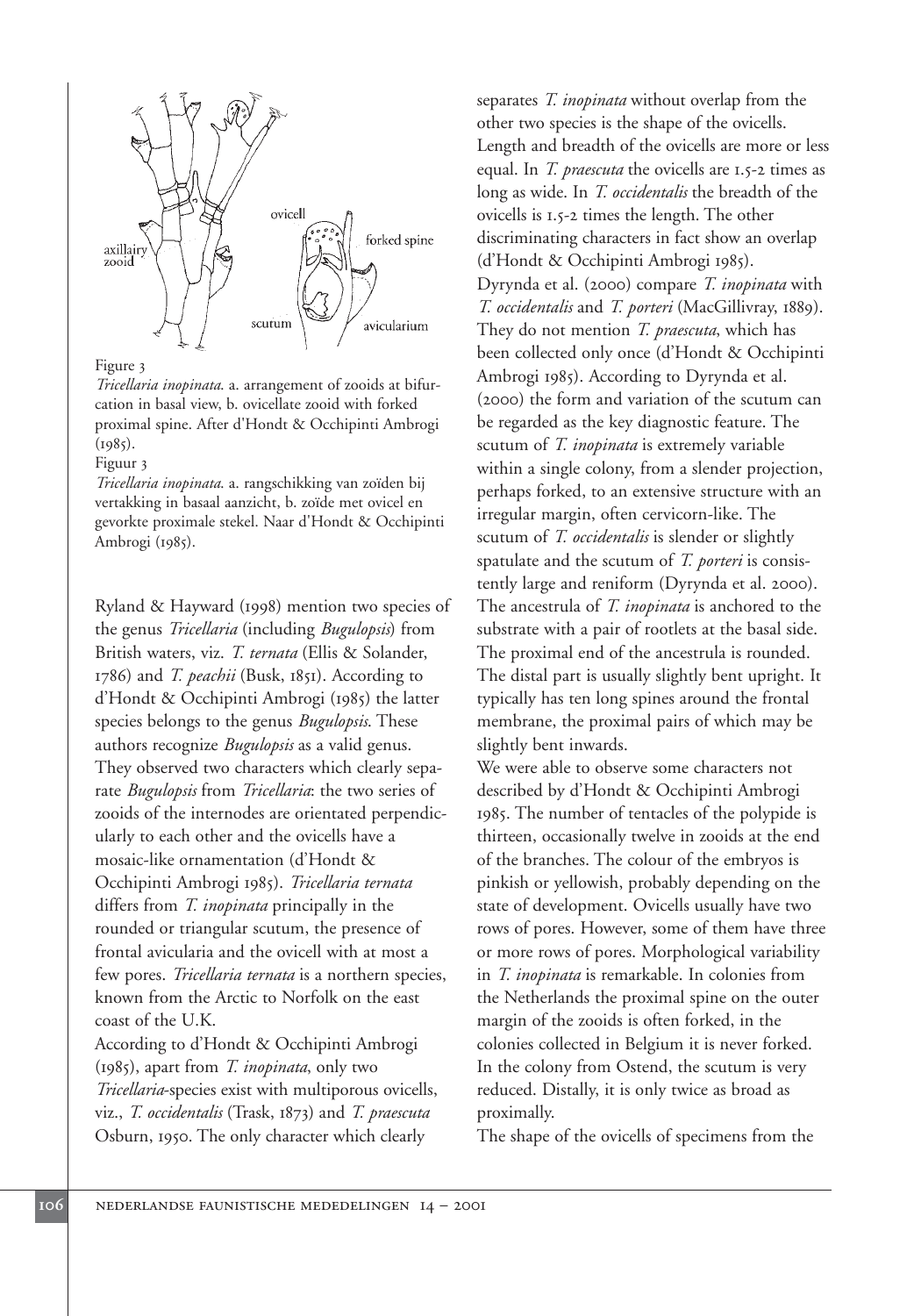

#### Figure 3

*Tricellaria inopinata*. a. arrangement of zooids at bifurcation in basal view, b. ovicellate zooid with forked proximal spine. After d'Hondt & Occhipinti Ambrogi  $(1985)$ .

### Figuur 3

*Tricellaria inopinata*. a. rangschikking van zoïden bij vertakking in basaal aanzicht, b. zoïde met ovicel en gevorkte proximale stekel. Naar d'Hondt & Occhipinti Ambrogi (1985).

Ryland & Hayward (1998) mention two species of the genus *Tricellaria* (including *Bugulopsis*) from British waters, viz. *T. ternata* (Ellis & Solander, 1786) and *T. peachii* (Busk, 1851). According to d'Hondt & Occhipinti Ambrogi (1985) the latter species belongs to the genus *Bugulopsis*. These authors recognize *Bugulopsis* as a valid genus. They observed two characters which clearly separate *Bugulopsis* from *Tricellaria*: the two series of zooids of the internodes are orientated perpendicularly to each other and the ovicells have a mosaic-like ornamentation (d'Hondt & Occhipinti Ambrogi 1985). *Tricellaria ternata* differs from *T. inopinata* principally in the rounded or triangular scutum, the presence of frontal avicularia and the ovicell with at most a few pores. *Tricellaria ternata* is a northern species, known from the Arctic to Norfolk on the east coast of the U.K.

According to d'Hondt & Occhipinti Ambrogi (1985), apart from *T. inopinata*, only two *Tricellaria*-species exist with multiporous ovicells, viz., *T. occidentalis* (Trask, 1873) and *T. praescuta* Osburn, 1950. The only character which clearly

separates *T. inopinata* without overlap from the other two species is the shape of the ovicells. Length and breadth of the ovicells are more or less equal. In *T. praescuta* the ovicells are 1.5-2 times as long as wide. In *T. occidentalis* the breadth of the ovicells is 1.5-2 times the length. The other discriminating characters in fact show an overlap (d'Hondt & Occhipinti Ambrogi 1985). Dyrynda et al. (2000) compare *T. inopinata* with *T. occidentalis* and *T. porteri* (MacGillivray, 1889). They do not mention *T. praescuta*, which has been collected only once (d'Hondt & Occhipinti Ambrogi 1985). According to Dyrynda et al. (2000) the form and variation of the scutum can be regarded as the key diagnostic feature. The scutum of *T. inopinata* is extremely variable within a single colony, from a slender projection, perhaps forked, to an extensive structure with an irregular margin, often cervicorn-like. The scutum of *T. occidentalis* is slender or slightly spatulate and the scutum of *T. porteri* is consistently large and reniform (Dyrynda et al. 2000). The ancestrula of *T. inopinata* is anchored to the substrate with a pair of rootlets at the basal side. The proximal end of the ancestrula is rounded. The distal part is usually slightly bent upright. It typically has ten long spines around the frontal membrane, the proximal pairs of which may be slightly bent inwards.

We were able to observe some characters not described by d'Hondt & Occhipinti Ambrogi 1985. The number of tentacles of the polypide is thirteen, occasionally twelve in zooids at the end of the branches. The colour of the embryos is pinkish or yellowish, probably depending on the state of development. Ovicells usually have two rows of pores. However, some of them have three or more rows of pores. Morphological variability in *T. inopinata* is remarkable. In colonies from the Netherlands the proximal spine on the outer margin of the zooids is often forked, in the colonies collected in Belgium it is never forked. In the colony from Ostend, the scutum is very reduced. Distally, it is only twice as broad as proximally.

The shape of the ovicells of specimens from the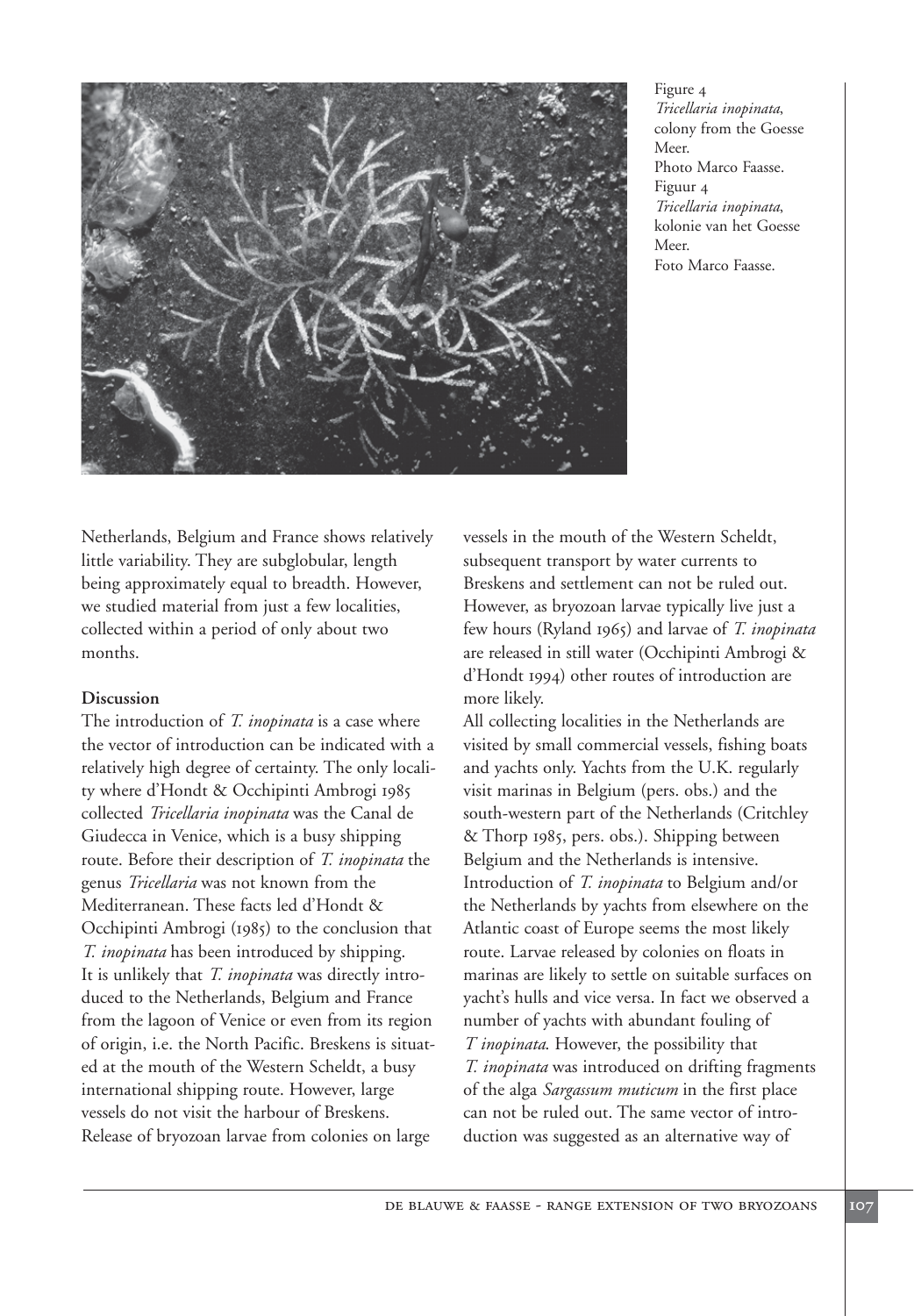

Figure 4 *Tricellaria inopinata*, colony from the Goesse Meer. Photo Marco Faasse. Figuur 4 *Tricellaria inopinata*, kolonie van het Goesse Meer. Foto Marco Faasse.

Netherlands, Belgium and France shows relatively little variability. They are subglobular, length being approximately equal to breadth. However, we studied material from just a few localities, collected within a period of only about two months.

# **Discussion**

The introduction of *T. inopinata* is a case where the vector of introduction can be indicated with a relatively high degree of certainty. The only locality where d'Hondt & Occhipinti Ambrogi 1985 collected *Tricellaria inopinata* was the Canal de Giudecca in Venice, which is a busy shipping route. Before their description of *T. inopinata* the genus *Tricellaria* was not known from the Mediterranean. These facts led d'Hondt & Occhipinti Ambrogi (1985) to the conclusion that *T. inopinata* has been introduced by shipping. It is unlikely that *T. inopinata* was directly introduced to the Netherlands, Belgium and France from the lagoon of Venice or even from its region of origin, i.e. the North Pacific. Breskens is situated at the mouth of the Western Scheldt, a busy international shipping route. However, large vessels do not visit the harbour of Breskens. Release of bryozoan larvae from colonies on large

vessels in the mouth of the Western Scheldt, subsequent transport by water currents to Breskens and settlement can not be ruled out. However, as bryozoan larvae typically live just a few hours (Ryland 1965) and larvae of *T. inopinata* are released in still water (Occhipinti Ambrogi & d'Hondt 1994) other routes of introduction are more likely.

All collecting localities in the Netherlands are visited by small commercial vessels, fishing boats and yachts only. Yachts from the U.K. regularly visit marinas in Belgium (pers. obs.) and the south-western part of the Netherlands (Critchley & Thorp 1985, pers. obs.). Shipping between Belgium and the Netherlands is intensive. Introduction of *T. inopinata* to Belgium and/or the Netherlands by yachts from elsewhere on the Atlantic coast of Europe seems the most likely route. Larvae released by colonies on floats in marinas are likely to settle on suitable surfaces on yacht's hulls and vice versa. In fact we observed a number of yachts with abundant fouling of *T inopinata*. However, the possibility that *T. inopinata* was introduced on drifting fragments of the alga *Sargassum muticum* in the first place can not be ruled out. The same vector of introduction was suggested as an alternative way of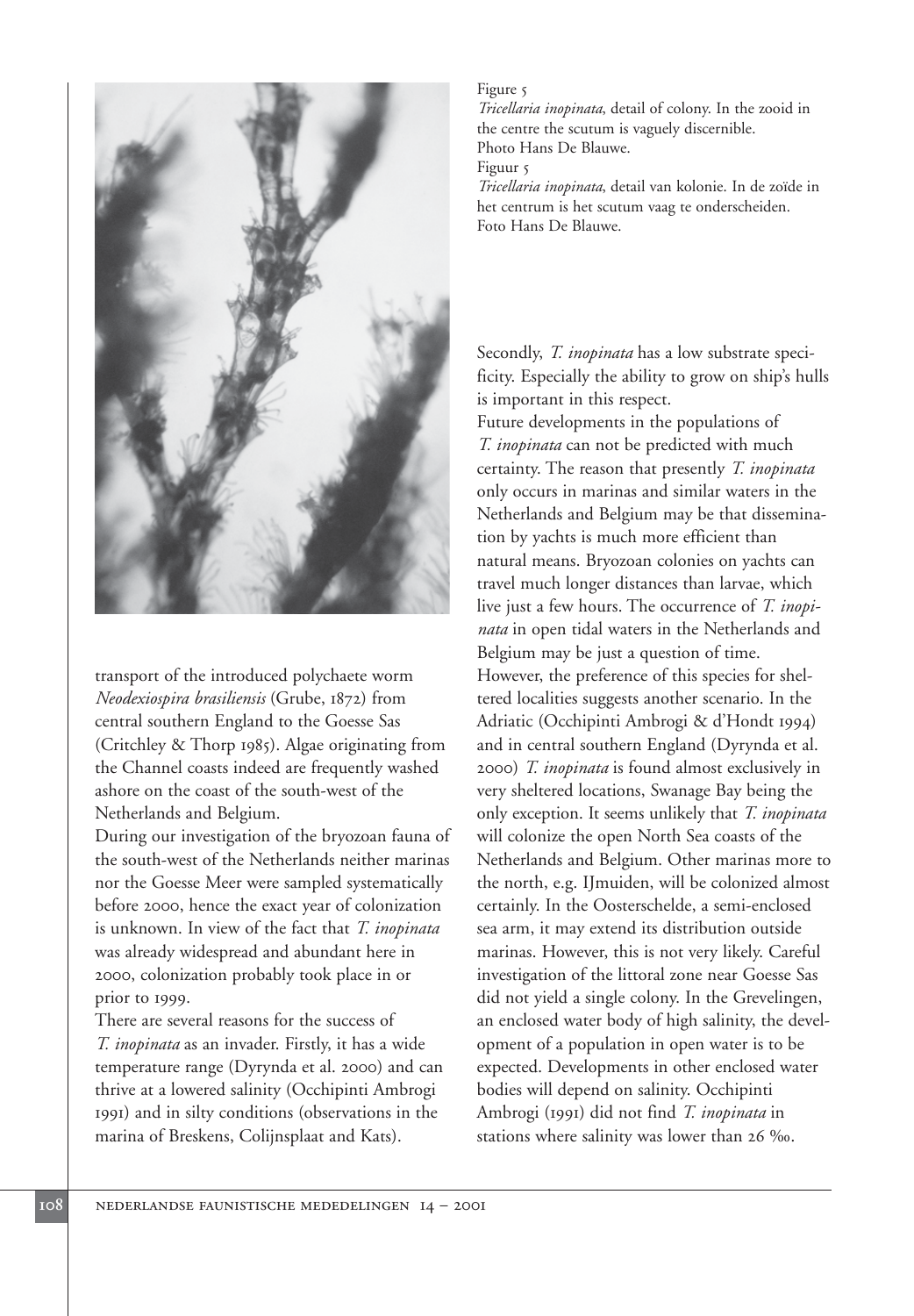

transport of the introduced polychaete worm *Neodexiospira brasiliensis* (Grube, 1872) from central southern England to the Goesse Sas (Critchley & Thorp 1985). Algae originating from the Channel coasts indeed are frequently washed ashore on the coast of the south-west of the Netherlands and Belgium.

During our investigation of the bryozoan fauna of the south-west of the Netherlands neither marinas nor the Goesse Meer were sampled systematically before 2000, hence the exact year of colonization is unknown. In view of the fact that *T. inopinata* was already widespread and abundant here in 2000, colonization probably took place in or prior to 1999.

There are several reasons for the success of *T. inopinata* as an invader. Firstly, it has a wide temperature range (Dyrynda et al. 2000) and can thrive at a lowered salinity (Occhipinti Ambrogi 1991) and in silty conditions (observations in the marina of Breskens, Colijnsplaat and Kats).

### Figure 5

*Tricellaria inopinata*, detail of colony. In the zooid in the centre the scutum is vaguely discernible. Photo Hans De Blauwe.

#### Figuur 5

*Tricellaria inopinata*, detail van kolonie. In de zoïde in het centrum is het scutum vaag te onderscheiden. Foto Hans De Blauwe.

Secondly, *T. inopinata* has a low substrate specificity. Especially the ability to grow on ship's hulls is important in this respect. Future developments in the populations of *T. inopinata* can not be predicted with much

certainty. The reason that presently *T. inopinata* only occurs in marinas and similar waters in the Netherlands and Belgium may be that dissemination by yachts is much more efficient than natural means. Bryozoan colonies on yachts can travel much longer distances than larvae, which live just a few hours. The occurrence of *T. inopinata* in open tidal waters in the Netherlands and Belgium may be just a question of time. However, the preference of this species for sheltered localities suggests another scenario. In the Adriatic (Occhipinti Ambrogi & d'Hondt 1994) and in central southern England (Dyrynda et al. 2000) *T. inopinata* is found almost exclusively in very sheltered locations, Swanage Bay being the only exception. It seems unlikely that *T. inopinata* will colonize the open North Sea coasts of the Netherlands and Belgium. Other marinas more to the north, e.g. IJmuiden, will be colonized almost certainly. In the Oosterschelde, a semi-enclosed sea arm, it may extend its distribution outside marinas. However, this is not very likely. Careful investigation of the littoral zone near Goesse Sas did not yield a single colony. In the Grevelingen, an enclosed water body of high salinity, the development of a population in open water is to be expected. Developments in other enclosed water bodies will depend on salinity. Occhipinti Ambrogi (1991) did not find *T. inopinata* in stations where salinity was lower than 26 ‰.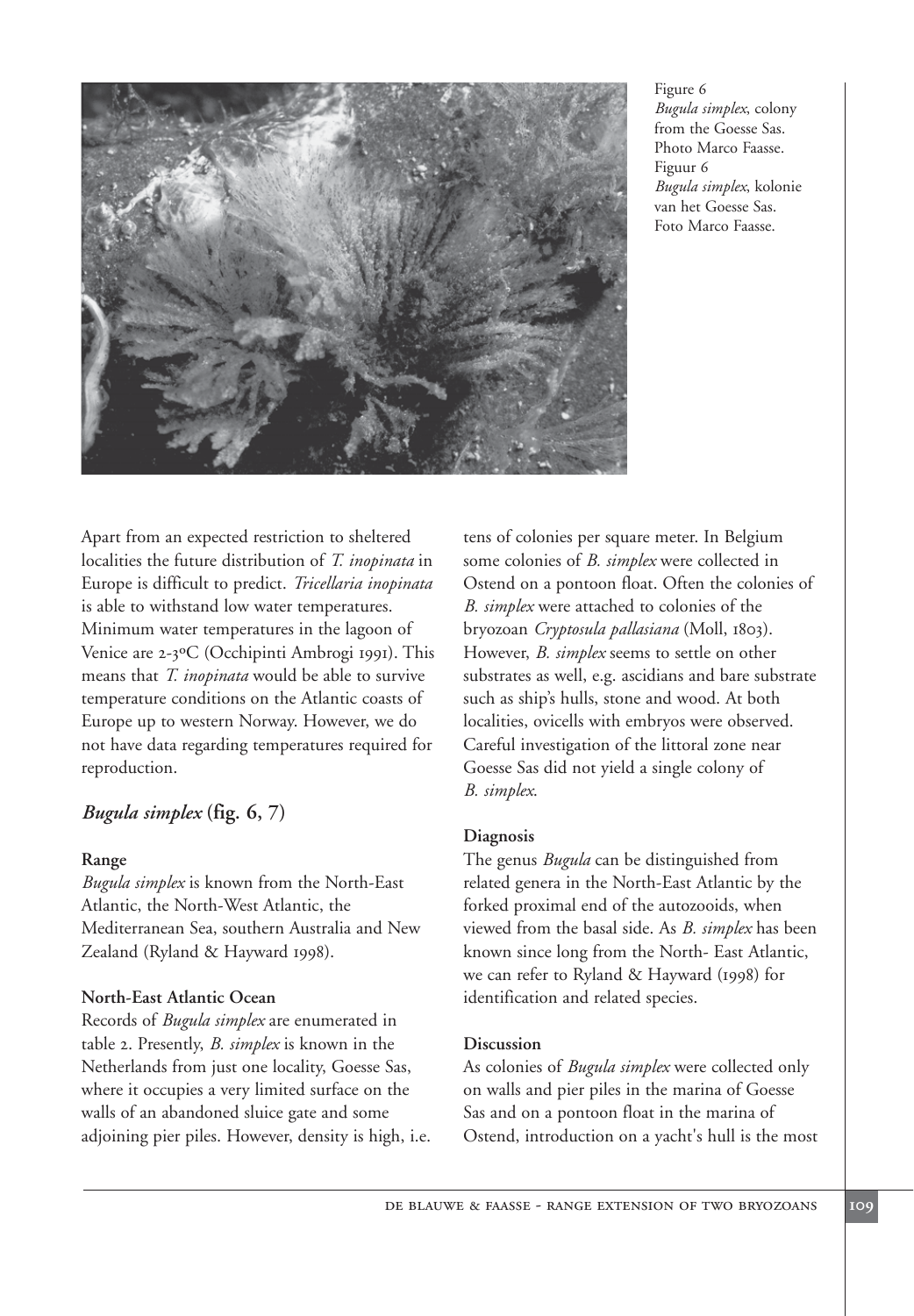

Figure 6 *Bugula simplex*, colony from the Goesse Sas. Photo Marco Faasse. Figuur 6 *Bugula simplex*, kolonie van het Goesse Sas. Foto Marco Faasse.

Apart from an expected restriction to sheltered localities the future distribution of *T. inopinata* in Europe is difficult to predict. *Tricellaria inopinata* is able to withstand low water temperatures. Minimum water temperatures in the lagoon of Venice are 2-3ºC (Occhipinti Ambrogi 1991). This means that *T. inopinata* would be able to survive temperature conditions on the Atlantic coasts of Europe up to western Norway. However, we do not have data regarding temperatures required for reproduction.

# *Bugula simplex* **(fig. 6, 7)**

# **Range**

*Bugula simplex* is known from the North-East Atlantic, the North-West Atlantic, the Mediterranean Sea, southern Australia and New Zealand (Ryland & Hayward 1998).

# **North-East Atlantic Ocean**

Records of *Bugula simplex* are enumerated in table 2. Presently, *B. simplex* is known in the Netherlands from just one locality, Goesse Sas, where it occupies a very limited surface on the walls of an abandoned sluice gate and some adjoining pier piles. However, density is high, i.e. tens of colonies per square meter. In Belgium some colonies of *B. simplex* were collected in Ostend on a pontoon float. Often the colonies of *B. simplex* were attached to colonies of the bryozoan *Cryptosula pallasiana* (Moll, 1803). However, *B. simplex* seems to settle on other substrates as well, e.g. ascidians and bare substrate such as ship's hulls, stone and wood. At both localities, ovicells with embryos were observed. Careful investigation of the littoral zone near Goesse Sas did not yield a single colony of *B. simplex*.

# **Diagnosis**

The genus *Bugula* can be distinguished from related genera in the North-East Atlantic by the forked proximal end of the autozooids, when viewed from the basal side. As *B. simplex* has been known since long from the North- East Atlantic, we can refer to Ryland & Hayward (1998) for identification and related species.

# **Discussion**

As colonies of *Bugula simplex* were collected only on walls and pier piles in the marina of Goesse Sas and on a pontoon float in the marina of Ostend, introduction on a yacht's hull is the most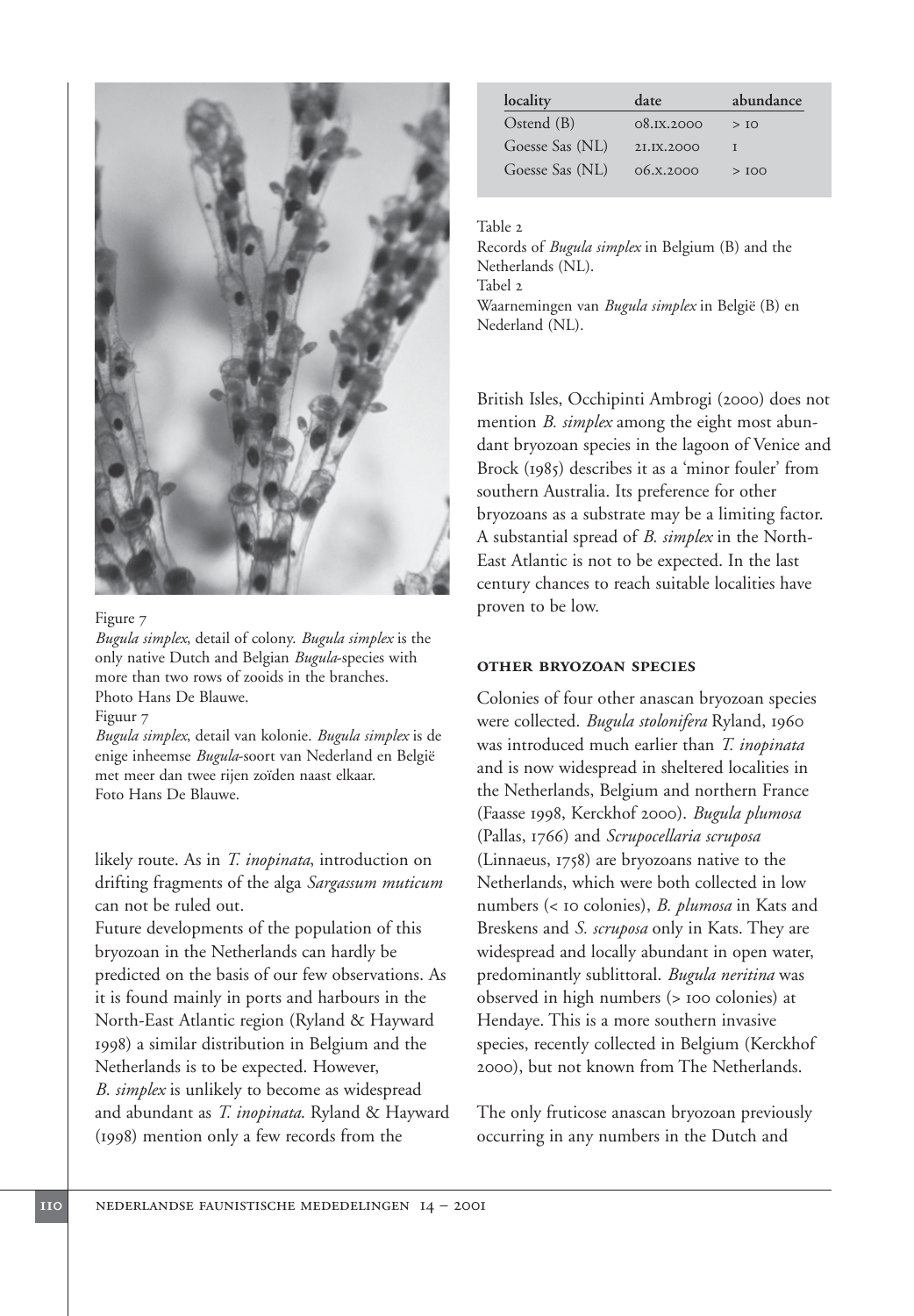

#### Figure 7

*Bugula simplex*, detail of colony. *Bugula simplex* is the only native Dutch and Belgian *Bugula*-species with more than two rows of zooids in the branches. Photo Hans De Blauwe.

#### Figuur 7

*Bugula simplex*, detail van kolonie. *Bugula simplex* is de enige inheemse *Bugula*-soort van Nederland en België met meer dan twee rijen zoïden naast elkaar. Foto Hans De Blauwe.

likely route. As in *T. inopinata*, introduction on drifting fragments of the alga *Sargassum muticum* can not be ruled out.

Future developments of the population of this bryozoan in the Netherlands can hardly be predicted on the basis of our few observations. As it is found mainly in ports and harbours in the North-East Atlantic region (Ryland & Hayward 1998) a similar distribution in Belgium and the Netherlands is to be expected. However, *B. simplex* is unlikely to become as widespread and abundant as *T. inopinata*. Ryland & Hayward (1998) mention only a few records from the

| locality        | date       | abundance |
|-----------------|------------|-----------|
| $Ostend$ (B)    | 08.1X,2000 | >10       |
| Goesse Sas (NL) | 2J.JX.2000 |           |
| Goesse Sas (NL) | 06.8.2000  | >100      |

#### Table 2

Records of *Bugula simplex* in Belgium (B) and the Netherlands (NL). Tabel 2 Waarnemingen van *Bugula simplex* in België (B) en Nederland (NL).

British Isles, Occhipinti Ambrogi (2000) does not mention *B. simplex* among the eight most abundant bryozoan species in the lagoon of Venice and Brock (1985) describes it as a 'minor fouler' from southern Australia. Its preference for other bryozoans as a substrate may be a limiting factor. A substantial spread of *B. simplex* in the North-East Atlantic is not to be expected. In the last century chances to reach suitable localities have proven to be low.

### **other bryozoan species**

Colonies of four other anascan bryozoan species were collected. *Bugula stolonifera* Ryland, 1960 was introduced much earlier than *T. inopinata* and is now widespread in sheltered localities in the Netherlands, Belgium and northern France (Faasse 1998, Kerckhof 2000). *Bugula plumosa* (Pallas, 1766) and *Scrupocellaria scruposa* (Linnaeus, 1758) are bryozoans native to the Netherlands, which were both collected in low numbers (< 10 colonies), *B. plumosa* in Kats and Breskens and *S. scruposa* only in Kats. They are widespread and locally abundant in open water, predominantly sublittoral. *Bugula neritina* was observed in high numbers (> 100 colonies) at Hendaye. This is a more southern invasive species, recently collected in Belgium (Kerckhof 2000), but not known from The Netherlands.

The only fruticose anascan bryozoan previously occurring in any numbers in the Dutch and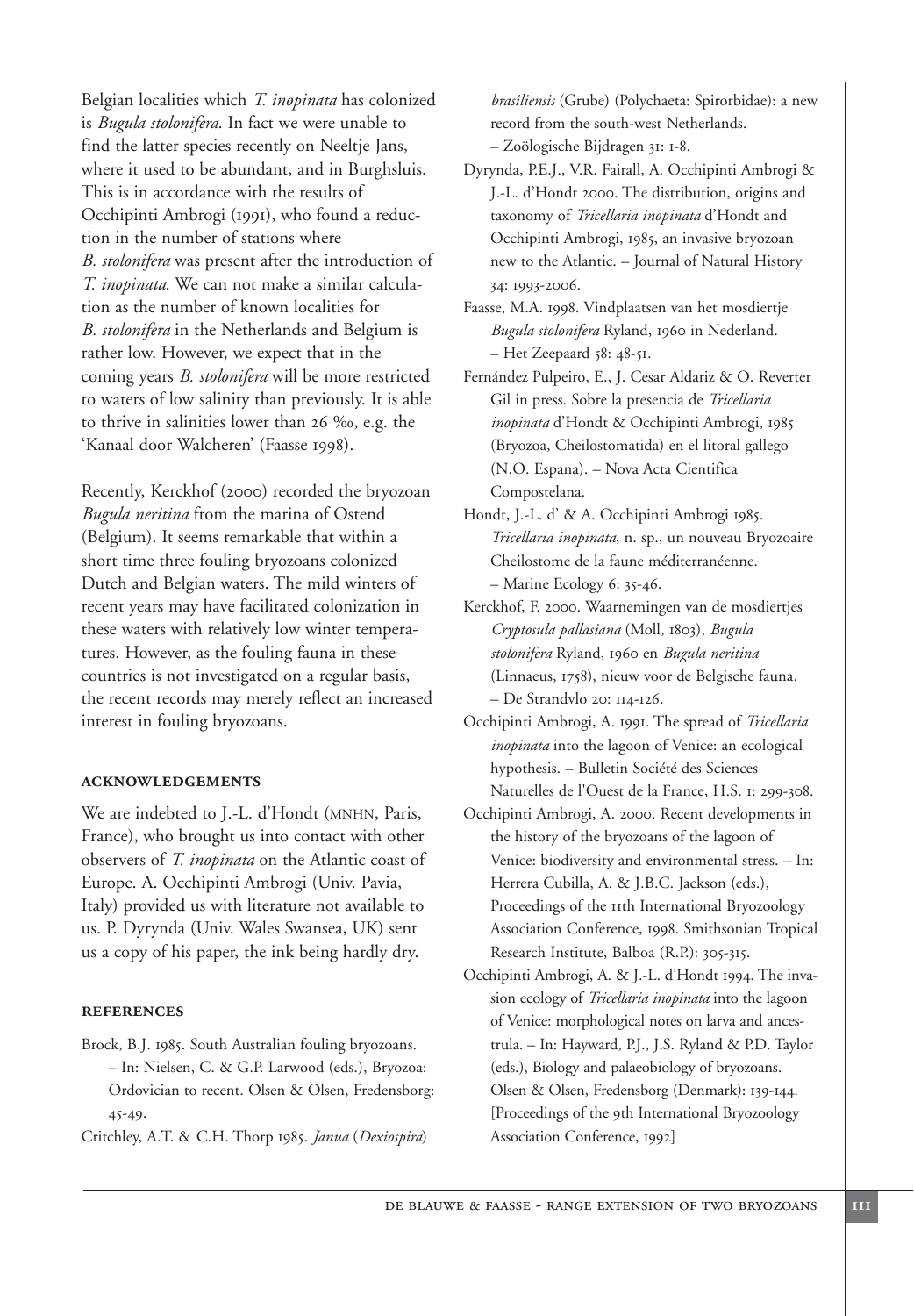Belgian localities which *T. inopinata* has colonized is *Bugula stolonifera*. In fact we were unable to find the latter species recently on Neeltje Jans, where it used to be abundant, and in Burghsluis. This is in accordance with the results of Occhipinti Ambrogi (1991), who found a reduction in the number of stations where *B. stolonifera* was present after the introduction of *T. inopinata*. We can not make a similar calculation as the number of known localities for *B. stolonifera* in the Netherlands and Belgium is rather low. However, we expect that in the coming years *B. stolonifera* will be more restricted to waters of low salinity than previously. It is able to thrive in salinities lower than 26 ‰, e.g. the 'Kanaal door Walcheren' (Faasse 1998).

Recently, Kerckhof (2000) recorded the bryozoan *Bugula neritina* from the marina of Ostend (Belgium). It seems remarkable that within a short time three fouling bryozoans colonized Dutch and Belgian waters. The mild winters of recent years may have facilitated colonization in these waters with relatively low winter temperatures. However, as the fouling fauna in these countries is not investigated on a regular basis, the recent records may merely reflect an increased interest in fouling bryozoans.

#### **acknowledgements**

We are indebted to J.-L. d'Hondt (MNHN, Paris, France), who brought us into contact with other observers of *T. inopinata* on the Atlantic coast of Europe. A. Occhipinti Ambrogi (Univ. Pavia, Italy) provided us with literature not available to us. P. Dyrynda (Univ. Wales Swansea, UK) sent us a copy of his paper, the ink being hardly dry.

#### **references**

Brock, B.J. 1985. South Australian fouling bryozoans. – In: Nielsen, C. & G.P. Larwood (eds.), Bryozoa: Ordovician to recent. Olsen & Olsen, Fredensborg: 45-49.

Critchley, A.T. & C.H. Thorp 1985. *Janua* (*Dexiospira*)

*brasiliensis* (Grube) (Polychaeta: Spirorbidae): a new record from the south-west Netherlands. – Zoölogische Bijdragen 31: 1-8.

Dyrynda, P.E.J., V.R. Fairall, A. Occhipinti Ambrogi & J.-L. d'Hondt 2000. The distribution, origins and taxonomy of *Tricellaria inopinata* d'Hondt and Occhipinti Ambrogi, 1985, an invasive bryozoan new to the Atlantic. – Journal of Natural History 34: 1993-2006.

Faasse, M.A. 1998. Vindplaatsen van het mosdiertje *Bugula stolonifera* Ryland, 1960 in Nederland. – Het Zeepaard 58: 48-51.

Fernández Pulpeiro, E., J. Cesar Aldariz & O. Reverter Gil in press. Sobre la presencia de *Tricellaria inopinata* d'Hondt & Occhipinti Ambrogi, 1985 (Bryozoa, Cheilostomatida) en el litoral gallego (N.O. Espana). – Nova Acta Cientifica Compostelana.

Hondt, J.-L. d' & A. Occhipinti Ambrogi 1985. *Tricellaria inopinata*, n. sp., un nouveau Bryozoaire Cheilostome de la faune méditerranéenne. – Marine Ecology 6: 35-46.

- Kerckhof, F. 2000. Waarnemingen van de mosdiertjes *Cryptosula pallasiana* (Moll, 1803), *Bugula stolonifera* Ryland, 1960 en *Bugula neritina* (Linnaeus, 1758), nieuw voor de Belgische fauna. – De Strandvlo 20: 114-126.
- Occhipinti Ambrogi, A. 1991. The spread of *Tricellaria inopinata* into the lagoon of Venice: an ecological hypothesis. – Bulletin Société des Sciences Naturelles de l'Ouest de la France, H.S. 1: 299-308.
- Occhipinti Ambrogi, A. 2000. Recent developments in the history of the bryozoans of the lagoon of Venice: biodiversity and environmental stress. – In: Herrera Cubilla, A. & J.B.C. Jackson (eds.), Proceedings of the 11th International Bryozoology Association Conference, 1998. Smithsonian Tropical Research Institute, Balboa (R.P.): 305-315.
- Occhipinti Ambrogi, A. & J.-L. d'Hondt 1994. The invasion ecology of *Tricellaria inopinata* into the lagoon of Venice: morphological notes on larva and ancestrula. – In: Hayward, P.J., J.S. Ryland & P.D. Taylor (eds.), Biology and palaeobiology of bryozoans. Olsen & Olsen, Fredensborg (Denmark): 139-144. [Proceedings of the 9th International Bryozoology Association Conference, 1992]